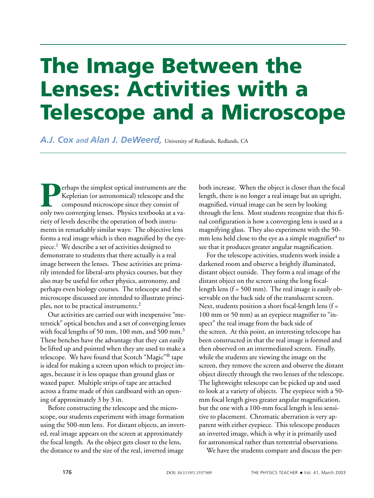## **The Image Between the Lenses: Activities with a Telescope and a Microscope**

A.J. COX and Alan J. DeWeerd, University of Redlands, Redlands, CA

Perhaps the simplest optical instruments are the<br>Keplerian (or astronomical) telescope and the<br>compound microscope since they consist of<br>only two converging lenses. Physics textbooks at a va-Keplerian (or astronomical) telescope and the compound microscope since they consist of only two converging lenses. Physics textbooks at a variety of levels describe the operation of both instruments in remarkably similar ways: The objective lens forms a real image which is then magnified by the eyepiece.<sup>1</sup> We describe a set of activities designed to demonstrate to students that there actually is a real image between the lenses. These activities are primarily intended for liberal-arts physics courses, but they also may be useful for other physics, astronomy, and perhaps even biology courses. The telescope and the microscope discussed are intended to illustrate principles, not to be practical instruments.<sup>2</sup>

Our activities are carried out with inexpensive "meterstick" optical benches and a set of converging lenses with focal lengths of 50 mm, 100 mm, and 500 mm.<sup>3</sup> These benches have the advantage that they can easily be lifted up and pointed when they are used to make a telescope. We have found that Scotch "Magic"® tape is ideal for making a screen upon which to project images, because it is less opaque than ground glass or waxed paper. Multiple strips of tape are attached across a frame made of thin cardboard with an opening of approximately 3 by 3 in.

Before constructing the telescope and the microscope, our students experiment with image formation using the 500-mm lens. For distant objects, an inverted, real image appears on the screen at approximately the focal length. As the object gets closer to the lens, the distance to and the size of the real, inverted image

both increase. When the object is closer than the focal length, there is no longer a real image but an upright, magnified, virtual image can be seen by looking through the lens. Most students recognize that this final configuration is how a converging lens is used as a magnifying glass. They also experiment with the 50 mm lens held close to the eye as a simple magnifier<sup>4</sup> to see that it produces greater angular magnification.

For the telescope activities, students work inside a darkened room and observe a brightly illuminated, distant object outside. They form a real image of the distant object on the screen using the long focallength lens  $(f = 500 \text{ mm})$ . The real image is easily observable on the back side of the translucent screen. Next, students position a short focal-length lens ( $f =$ 100 mm or 50 mm) as an eyepiece magnifier to "inspect" the real image from the back side of the screen. At this point, an interesting telescope has been constructed in that the real image is formed and then observed on an intermediated screen. Finally, while the students are viewing the image on the screen, they remove the screen and observe the distant object directly through the two lenses of the telescope. The lightweight telescope can be picked up and used to look at a variety of objects. The eyepiece with a 50 mm focal length gives greater angular magnification, but the one with a 100-mm focal length is less sensitive to placement. Chromatic aberration is very apparent with either eyepiece. This telescope produces an inverted image, which is why it is primarily used for astronomical rather than terrestrial observations.

We have the students compare and discuss the per-